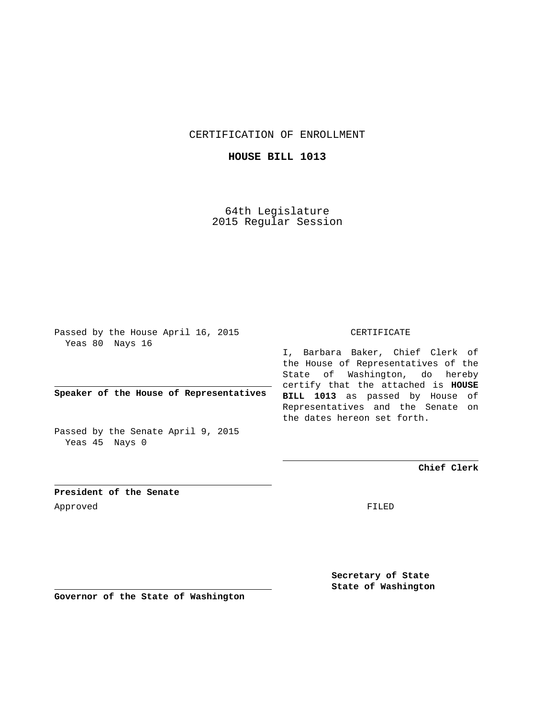CERTIFICATION OF ENROLLMENT

**HOUSE BILL 1013**

64th Legislature 2015 Regular Session

Passed by the House April 16, 2015 Yeas 80 Nays 16

**Speaker of the House of Representatives**

Passed by the Senate April 9, 2015 Yeas 45 Nays 0

CERTIFICATE

I, Barbara Baker, Chief Clerk of the House of Representatives of the State of Washington, do hereby certify that the attached is **HOUSE BILL 1013** as passed by House of Representatives and the Senate on the dates hereon set forth.

**Chief Clerk**

**President of the Senate** Approved FILED

**Secretary of State State of Washington**

**Governor of the State of Washington**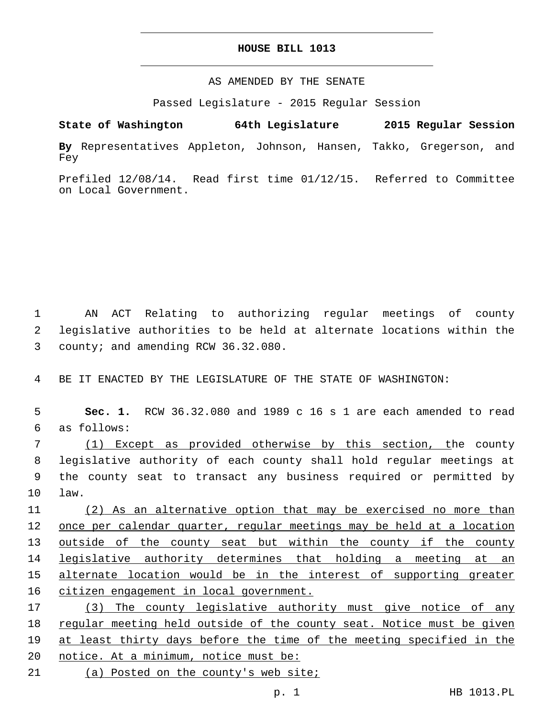## **HOUSE BILL 1013**

## AS AMENDED BY THE SENATE

Passed Legislature - 2015 Regular Session

```
State of Washington 64th Legislature 2015 Regular Session
```
**By** Representatives Appleton, Johnson, Hansen, Takko, Gregerson, and Fey

Prefiled 12/08/14. Read first time 01/12/15. Referred to Committee on Local Government.

1 AN ACT Relating to authorizing regular meetings of county 2 legislative authorities to be held at alternate locations within the 3 county; and amending RCW 36.32.080.

4 BE IT ENACTED BY THE LEGISLATURE OF THE STATE OF WASHINGTON:

5 **Sec. 1.** RCW 36.32.080 and 1989 c 16 s 1 are each amended to read as follows:6

 (1) Except as provided otherwise by this section, the county legislative authority of each county shall hold regular meetings at the county seat to transact any business required or permitted by 10 law.

 (2) As an alternative option that may be exercised no more than once per calendar quarter, regular meetings may be held at a location outside of the county seat but within the county if the county legislative authority determines that holding a meeting at an alternate location would be in the interest of supporting greater 16 citizen engagement in local government.

17 (3) The county legislative authority must give notice of any 18 regular meeting held outside of the county seat. Notice must be given 19 at least thirty days before the time of the meeting specified in the 20 notice. At a minimum, notice must be: 21 (a) Posted on the county's web site;